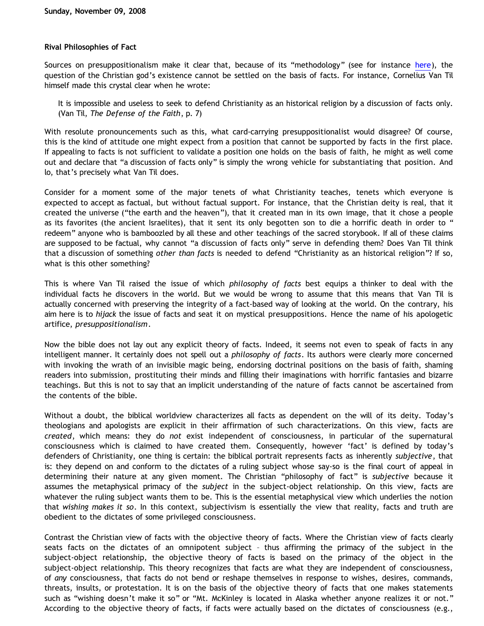### **Rival Philosophies of Fact**

Sources on presuppositionalism make it clear that, because of its "methodology" (see for instance [here](http://bahnsenburner.blogspot.com/2006/02/presuppositionalism-and-argument-from.html)), the question of the Christian god's existence cannot be settled on the basis of facts. For instance, Cornelius Van Til himself made this crystal clear when he wrote:

It is impossible and useless to seek to defend Christianity as an historical religion by a discussion of facts only. (Van Til, *The Defense of the Faith*, p. 7)

With resolute pronouncements such as this, what card-carrying presuppositionalist would disagree? Of course, this is the kind of attitude one might expect from a position that cannot be supported by facts in the first place. If appealing to facts is not sufficient to validate a position one holds on the basis of faith, he might as well come out and declare that "a discussion of facts only" is simply the wrong vehicle for substantiating that position. And lo, that's precisely what Van Til does.

Consider for a moment some of the major tenets of what Christianity teaches, tenets which everyone is expected to accept as factual, but without factual support. For instance, that the Christian deity is real, that it created the universe ("the earth and the heaven"), that it created man in its own image, that it chose a people as its favorites (the ancient Israelites), that it sent its only begotten son to die a horrific death in order to " redeem" anyone who is bamboozled by all these and other teachings of the sacred storybook. If all of these claims are supposed to be factual, why cannot "a discussion of facts only" serve in defending them? Does Van Til think that a discussion of something *other than facts* is needed to defend "Christianity as an historical religion"? If so, what is this other something?

This is where Van Til raised the issue of which *philosophy of facts* best equips a thinker to deal with the individual facts he discovers in the world. But we would be wrong to assume that this means that Van Til is actually concerned with preserving the integrity of a fact-based way of looking at the world. On the contrary, his aim here is to *hijack* the issue of facts and seat it on mystical presuppositions. Hence the name of his apologetic artifice, *presuppositionalism*.

Now the bible does not lay out any explicit theory of facts. Indeed, it seems not even to speak of facts in any intelligent manner. It certainly does not spell out a *philosophy of facts*. Its authors were clearly more concerned with invoking the wrath of an invisible magic being, endorsing doctrinal positions on the basis of faith, shaming readers into submission, prostituting their minds and filling their imaginations with horrific fantasies and bizarre teachings. But this is not to say that an implicit understanding of the nature of facts cannot be ascertained from the contents of the bible.

Without a doubt, the biblical worldview characterizes all facts as dependent on the will of its deity. Today's theologians and apologists are explicit in their affirmation of such characterizations. On this view, facts are *created*, which means: they do *not* exist independent of consciousness, in particular of the supernatural consciousness which is claimed to have created them. Consequently, however 'fact' is defined by today's defenders of Christianity, one thing is certain: the biblical portrait represents facts as inherently *subjective*, that is: they depend on and conform to the dictates of a ruling subject whose say-so is the final court of appeal in determining their nature at any given moment. The Christian "philosophy of fact" is *subjective* because it assumes the metaphysical primacy of the *subject* in the subject-object relationship. On this view, facts are whatever the ruling subject wants them to be. This is the essential metaphysical view which underlies the notion that *wishing makes it so*. In this context, subjectivism is essentially the view that reality, facts and truth are obedient to the dictates of some privileged consciousness.

Contrast the Christian view of facts with the objective theory of facts. Where the Christian view of facts clearly seats facts on the dictates of an omnipotent subject – thus affirming the primacy of the subject in the subject-object relationship, the objective theory of facts is based on the primacy of the object in the subject-object relationship. This theory recognizes that facts are what they are independent of consciousness, of *any* consciousness, that facts do not bend or reshape themselves in response to wishes, desires, commands, threats, insults, or protestation. It is on the basis of the objective theory of facts that one makes statements such as "wishing doesn't make it so" or "Mt. McKinley is located in Alaska whether anyone realizes it or not." According to the objective theory of facts, if facts were actually based on the dictates of consciousness (e.g.,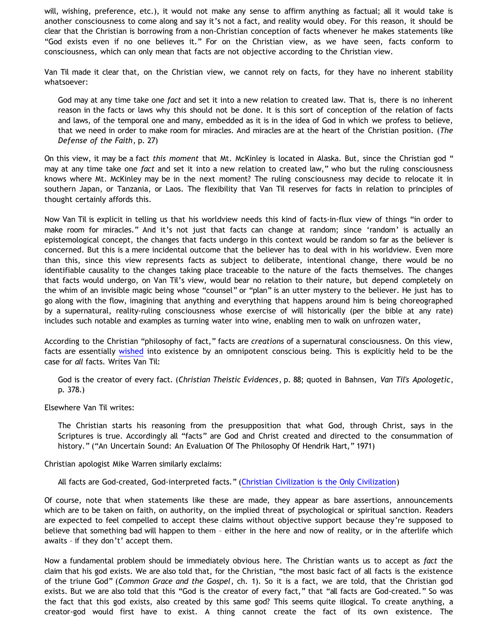will, wishing, preference, etc.), it would not make any sense to affirm anything as factual; all it would take is another consciousness to come along and say it's not a fact, and reality would obey. For this reason, it should be clear that the Christian is borrowing from a non-Christian conception of facts whenever he makes statements like "God exists even if no one believes it." For on the Christian view, as we have seen, facts conform to consciousness, which can only mean that facts are not objective according to the Christian view.

Van Til made it clear that, on the Christian view, we cannot rely on facts, for they have no inherent stability whatsoever:

God may at any time take one *fact* and set it into a new relation to created law. That is, there is no inherent reason in the facts or laws why this should not be done. It is this sort of conception of the relation of facts and laws, of the temporal one and many, embedded as it is in the idea of God in which we profess to believe, that we need in order to make room for miracles. And miracles are at the heart of the Christian position. (*The Defense of the Faith*, p. 27)

On this view, it may be a fact *this moment* that Mt. McKinley is located in Alaska. But, since the Christian god " may at any time take one *fact* and set it into a new relation to created law," who but the ruling consciousness knows where Mt. McKinley may be in the next moment? The ruling consciousness may decide to relocate it in southern Japan, or Tanzania, or Laos. The flexibility that Van Til reserves for facts in relation to principles of thought certainly affords this.

Now Van Til is explicit in telling us that his worldview needs this kind of facts-in-flux view of things "in order to make room for miracles." And it's not just that facts can change at random; since 'random' is actually an epistemological concept, the changes that facts undergo in this context would be random so far as the believer is concerned. But this is a mere incidental outcome that the believer has to deal with in his worldview. Even more than this, since this view represents facts as subject to deliberate, intentional change, there would be no identifiable causality to the changes taking place traceable to the nature of the facts themselves. The changes that facts would undergo, on Van Til's view, would bear no relation to their nature, but depend completely on the whim of an invisible magic being whose "counsel" or "plan" is an utter mystery to the believer. He just has to go along with the flow, imagining that anything and everything that happens around him is being choreographed by a supernatural, reality-ruling consciousness whose exercise of will historically (per the bible at any rate) includes such notable and examples as turning water into wine, enabling men to walk on unfrozen water,

According to the Christian "philosophy of fact," facts are *creations* of a supernatural consciousness. On this view, facts are essentially [wished](http://bahnsenburner.blogspot.com/2006/12/wishing-and-christian-deity.html) into existence by an omnipotent conscious being. This is explicitly held to be the case for *all* facts. Writes Van Til:

God is the creator of every fact. (*Christian Theistic Evidences*, p. 88; quoted in Bahnsen, *Van Til's Apologetic*, p. 378.)

Elsewhere Van Til writes:

The Christian starts his reasoning from the presupposition that what God, through Christ, says in the Scriptures is true. Accordingly all "facts" are God and Christ created and directed to the consummation of history." ("An Uncertain Sound: An Evaluation Of The Philosophy Of Hendrik Hart," 1971)

Christian apologist Mike Warren similarly exclaims:

All facts are God-created, God-interpreted facts." ([Christian Civilization is the Only Civilization\)](http://www.christianciv.com/ChristCivEssay.htm)

Of course, note that when statements like these are made, they appear as bare assertions, announcements which are to be taken on faith, on authority, on the implied threat of psychological or spiritual sanction. Readers are expected to feel compelled to accept these claims without objective support because they're supposed to believe that something bad will happen to them – either in the here and now of reality, or in the afterlife which awaits – if they don't' accept them.

Now a fundamental problem should be immediately obvious here. The Christian wants us to accept as *fact* the claim that his god exists. We are also told that, for the Christian, "the most basic fact of all facts is the existence of the triune God" (*Common Grace and the Gospel*, ch. 1). So it is a fact, we are told, that the Christian god exists. But we are also told that this "God is the creator of every fact," that "all facts are God-created." So was the fact that this god exists, also created by this same god? This seems quite illogical. To create anything, a creator-god would first have to exist. A thing cannot create the fact of its own existence. The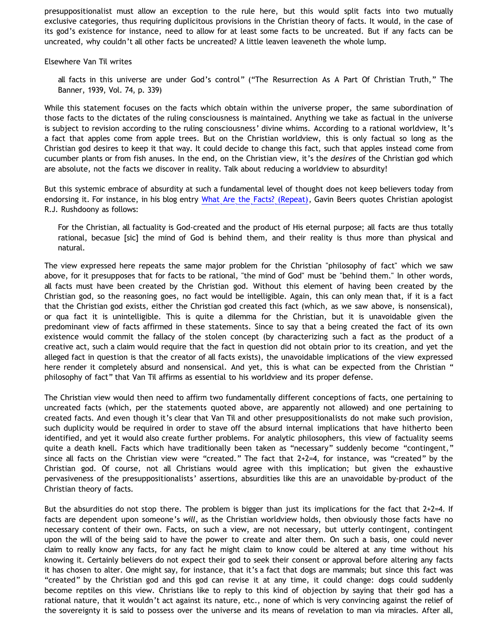presuppositionalist must allow an exception to the rule here, but this would split facts into two mutually exclusive categories, thus requiring duplicitous provisions in the Christian theory of facts. It would, in the case of its god's existence for instance, need to allow for at least some facts to be uncreated. But if any facts can be uncreated, why couldn't all other facts be uncreated? A little leaven leaveneth the whole lump.

Elsewhere Van Til writes

all facts in this universe are under God's control" ("The Resurrection As A Part Of Christian Truth," The Banner, 1939, Vol. 74, p. 339)

While this statement focuses on the facts which obtain within the universe proper, the same subordination of those facts to the dictates of the ruling consciousness is maintained. Anything we take as factual in the universe is subject to revision according to the ruling consciousness' divine whims. According to a rational worldview, It's a fact that apples come from apple trees. But on the Christian worldview, this is only factual so long as the Christian god desires to keep it that way. It could decide to change this fact, such that apples instead come from cucumber plants or from fish anuses. In the end, on the Christian view, it's the *desires* of the Christian god which are absolute, not the facts we discover in reality. Talk about reducing a worldview to absurdity!

But this systemic embrace of absurdity at such a fundamental level of thought does not keep believers today from endorsing it. For instance, in his blog entry [What Are the Facts? \(Repeat\),](http://puritanismtoday.wordpress.com/2007/09/25/what-are-the-facts-repeat/) Gavin Beers quotes Christian apologist R.J. Rushdoony as follows:

For the Christian, all factuality is God-created and the product of His eternal purpose; all facts are thus totally rational, becasue [sic] the mind of God is behind them, and their reality is thus more than physical and natural.

The view expressed here repeats the same major problem for the Christian "philosophy of fact" which we saw above, for it presupposes that for facts to be rational, "the mind of God" must be "behind them." In other words, all facts must have been created by the Christian god. Without this element of having been created by the Christian god, so the reasoning goes, no fact would be intelligible. Again, this can only mean that, if it is a fact that the Christian god exists, either the Christian god created this fact (which, as we saw above, is nonsensical), or qua fact it is unintelligible. This is quite a dilemma for the Christian, but it is unavoidable given the predominant view of facts affirmed in these statements. Since to say that a being created the fact of its own existence would commit the fallacy of the stolen concept (by characterizing such a fact as the product of a creative act, such a claim would require that the fact in question did not obtain prior to its creation, and yet the alleged fact in question is that the creator of all facts exists), the unavoidable implications of the view expressed here render it completely absurd and nonsensical. And yet, this is what can be expected from the Christian " philosophy of fact" that Van Til affirms as essential to his worldview and its proper defense.

The Christian view would then need to affirm two fundamentally different conceptions of facts, one pertaining to uncreated facts (which, per the statements quoted above, are apparently not allowed) and one pertaining to created facts. And even though it's clear that Van Til and other presuppositionalists do not make such provision, such duplicity would be required in order to stave off the absurd internal implications that have hitherto been identified, and yet it would also create further problems. For analytic philosophers, this view of factuality seems quite a death knell. Facts which have traditionally been taken as "necessary" suddenly become "contingent," since all facts on the Christian view were "created." The fact that 2+2=4, for instance, was "created" by the Christian god. Of course, not all Christians would agree with this implication; but given the exhaustive pervasiveness of the presuppositionalists' assertions, absurdities like this are an unavoidable by-product of the Christian theory of facts.

But the absurdities do not stop there. The problem is bigger than just its implications for the fact that 2+2=4. If facts are dependent upon someone's *will*, as the Christian worldview holds, then obviously those facts have no necessary content of their own. Facts, on such a view, are not necessary, but utterly contingent, contingent upon the will of the being said to have the power to create and alter them. On such a basis, one could never claim to really know any facts, for any fact he might claim to know could be altered at any time without his knowing it. Certainly believers do not expect their god to seek their consent or approval before altering any facts it has chosen to alter. One might say, for instance, that it's a fact that dogs are mammals; but since this fact was "created" by the Christian god and this god can revise it at any time, it could change: dogs could suddenly become reptiles on this view. Christians like to reply to this kind of objection by saying that their god has a rational nature, that it wouldn't act against its nature, etc., none of which is very convincing against the relief of the sovereignty it is said to possess over the universe and its means of revelation to man via miracles. After all,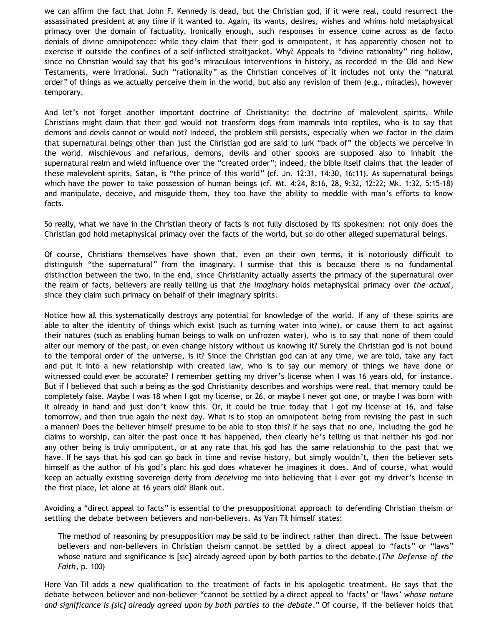we can affirm the fact that John F. Kennedy is dead, but the Christian god, if it were real, could resurrect the assassinated president at any time if it wanted to. Again, its wants, desires, wishes and whims hold metaphysical primacy over the domain of factuality. Ironically enough, such responses in essence come across as de facto denials of divine omnipotence: while they claim that their god is omnipotent, it has apparently chosen not to exercise it outside the confines of a self-inflicted straitjacket. Why? Appeals to "divine rationality" ring hollow, since no Christian would say that his god's miraculous interventions in history, as recorded in the Old and New Testaments, were irrational. Such "rationality" as the Christian conceives of it includes not only the "natural order" of things as we actually perceive them in the world, but also any revision of them (e.g., miracles), however temporary.

And let's not forget another important doctrine of Christianity: the doctrine of malevolent spirits. While Christians might claim that their god would not transform dogs from mammals into reptiles, who is to say that demons and devils cannot or would not? Indeed, the problem still persists, especially when we factor in the claim that supernatural beings other than just the Christian god are said to lurk "back of" the objects we perceive in the world. Mischievous and nefarious, demons, devils and other spooks are supposed also to inhabit the supernatural realm and wield influence over the "created order"; indeed, the bible itself claims that the leader of these malevolent spirits, Satan, is "the prince of this world" (cf. Jn. 12:31, 14:30, 16:11). As supernatural beings which have the power to take possession of human beings (cf. Mt. 4:24, 8:16, 28, 9:32, 12:22; Mk. 1:32, 5:15-18) and manipulate, deceive, and misguide them, they too have the ability to meddle with man's efforts to know facts.

So really, what we have in the Christian theory of facts is not fully disclosed by its spokesmen: not only does the Christian god hold metaphysical primacy over the facts of the world, but so do other alleged supernatural beings.

Of course, Christians themselves have shown that, even on their own terms, it is notoriously difficult to distinguish "the supernatural" from the imaginary. I surmise that this is because there is no fundamental distinction between the two. In the end, since Christianity actually asserts the primacy of the supernatural over the realm of facts, believers are really telling us that *the imaginary* holds metaphysical primacy over *the actual*, since they claim such primacy on behalf of their imaginary spirits.

Notice how all this systematically destroys any potential for knowledge of the world. If any of these spirits are able to alter the identity of things which exist (such as turning water into wine), or cause them to act against their natures (such as enabling human beings to walk on unfrozen water), who is to say that none of them could alter our memory of the past, or even change history without us knowing it? Surely the Christian god is not bound to the temporal order of the universe, is it? Since the Christian god can at any time, we are told, take any fact and put it into a new relationship with created law, who is to say our memory of things we have done or witnessed could ever be accurate? I remember getting my driver's license when I was 16 years old, for instance. But if I believed that such a being as the god Christianity describes and worships were real, that memory could be completely false. Maybe I was 18 when I got my license, or 26, or maybe I never got one, or maybe I was born with it already in hand and just don't know this. Or, it could be true today that I got my license at 16, and false tomorrow, and then true again the next day. What is to stop an omnipotent being from revising the past in such a manner? Does the believer himself presume to be able to stop this? If he says that no one, including the god he claims to worship, can alter the past once it has happened, then clearly he's telling us that neither his god nor any other being is truly omnipotent, or at any rate that his god has the same relationship to the past that we have. If he says that his god can go back in time and revise history, but simply wouldn't, then the believer sets himself as the author of his god's plan: his god does whatever he imagines it does. And of course, what would keep an actually existing sovereign deity from *deceiving* me into believing that I ever got my driver's license in the first place, let alone at 16 years old? Blank out.

Avoiding a "direct appeal to facts" is essential to the presuppositional approach to defending Christian theism or settling the debate between believers and non-believers. As Van Til himself states:

The method of reasoning by presupposition may be said to be indirect rather than direct. The issue between believers and non-believers in Christian theism cannot be settled by a direct appeal to "facts" or "laws" whose nature and significance is [sic] already agreed upon by both parties to the debate.(*The Defense of the Faith*, p. 100)

Here Van Til adds a new qualification to the treatment of facts in his apologetic treatment. He says that the debate between believer and non-believer "cannot be settled by a direct appeal to 'facts' or 'laws' *whose nature and significance is [sic] already agreed upon by both parties to the debate*." Of course, if the believer holds that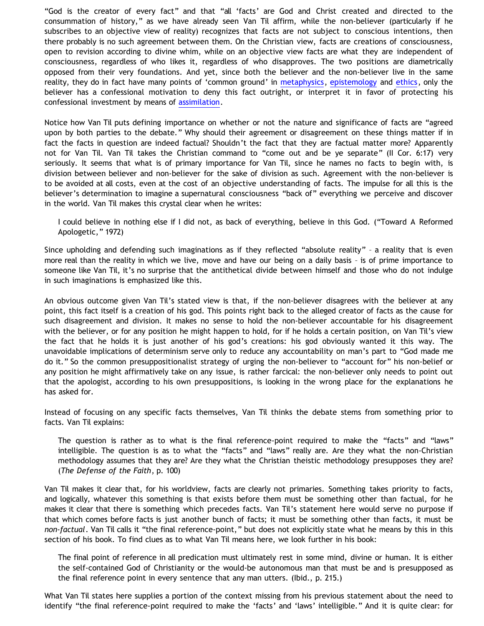"God is the creator of every fact" and that "all 'facts' are God and Christ created and directed to the consummation of history," as we have already seen Van Til affirm, while the non-believer (particularly if he subscribes to an objective view of reality) recognizes that facts are not subject to conscious intentions, then there probably is no such agreement between them. On the Christian view, facts are creations of consciousness, open to revision according to divine whim, while on an objective view facts are what they are independent of consciousness, regardless of who likes it, regardless of who disapproves. The two positions are diametrically opposed from their very foundations. And yet, since both the believer and the non-believer live in the same reality, they do in fact have many points of 'common ground' in [metaphysics,](http://bahnsenburner.blogspot.com/2007/03/common-ground-part-3-metaphysics.html) [epistemology](http://bahnsenburner.blogspot.com/2007/03/common-ground-part-4-epistemology.html) and [ethics,](http://bahnsenburner.blogspot.com/2007/03/common-ground-part-5-ethics.html) only the believer has a confessional motivation to deny this fact outright, or interpret it in favor of protecting his confessional investment by means of [assimilation.](http://bahnsenburner.blogspot.com/2008/06/stolen-concepts-and-intellectual.html)

Notice how Van Til puts defining importance on whether or not the nature and significance of facts are "agreed upon by both parties to the debate." Why should their agreement or disagreement on these things matter if in fact the facts in question are indeed factual? Shouldn't the fact that they are factual matter more? Apparently not for Van Til. Van Til takes the Christian command to "come out and be ye separate" (II Cor. 6:17) very seriously. It seems that what is of primary importance for Van Til, since he names no facts to begin with, is division between believer and non-believer for the sake of division as such. Agreement with the non-believer is to be avoided at all costs, even at the cost of an objective understanding of facts. The impulse for all this is the believer's determination to imagine a supernatural consciousness "back of" everything we perceive and discover in the world. Van Til makes this crystal clear when he writes:

I could believe in nothing else if I did not, as back of everything, believe in this God. ("Toward A Reformed Apologetic," 1972)

Since upholding and defending such imaginations as if they reflected "absolute reality" – a reality that is even more real than the reality in which we live, move and have our being on a daily basis – is of prime importance to someone like Van Til, it's no surprise that the antithetical divide between himself and those who do not indulge in such imaginations is emphasized like this.

An obvious outcome given Van Til's stated view is that, if the non-believer disagrees with the believer at any point, this fact itself is a creation of his god. This points right back to the alleged creator of facts as the cause for such disagreement and division. It makes no sense to hold the non-believer accountable for his disagreement with the believer, or for any position he might happen to hold, for if he holds a certain position, on Van Til's view the fact that he holds it is just another of his god's creations: his god obviously wanted it this way. The unavoidable implications of determinism serve only to reduce any accountability on man's part to "God made me do it." So the common presuppositionalist strategy of urging the non-believer to "account for" his non-belief or any position he might affirmatively take on any issue, is rather farcical: the non-believer only needs to point out that the apologist, according to his own presuppositions, is looking in the wrong place for the explanations he has asked for.

Instead of focusing on any specific facts themselves, Van Til thinks the debate stems from something prior to facts. Van Til explains:

The question is rather as to what is the final reference-point required to make the "facts" and "laws" intelligible. The question is as to what the "facts" and "laws" really are. Are they what the non-Christian methodology assumes that they are? Are they what the Christian theistic methodology presupposes they are? (*The Defense of the Faith*, p. 100)

Van Til makes it clear that, for his worldview, facts are clearly not primaries. Something takes priority to facts, and logically, whatever this something is that exists before them must be something other than factual, for he makes it clear that there is something which precedes facts. Van Til's statement here would serve no purpose if that which comes before facts is just another bunch of facts; it must be something other than facts, it must be *non-factual*. Van Til calls it "the final reference-point," but does not explicitly state what he means by this in this section of his book. To find clues as to what Van Til means here, we look further in his book:

The final point of reference in all predication must ultimately rest in some mind, divine or human. It is either the self-contained God of Christianity or the would-be autonomous man that must be and is presupposed as the final reference point in every sentence that any man utters. (Ibid., p. 215.)

What Van Til states here supplies a portion of the context missing from his previous statement about the need to identify "the final reference-point required to make the 'facts' and 'laws' intelligible." And it is quite clear: for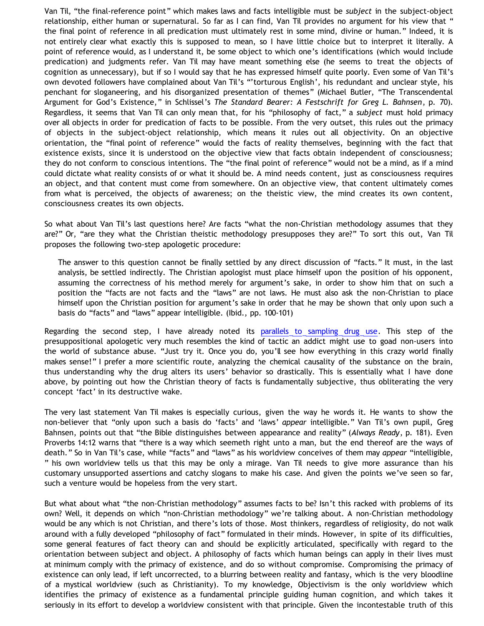Van Til, "the final-reference point" which makes laws and facts intelligible must be *subject* in the subject-object relationship, either human or supernatural. So far as I can find, Van Til provides no argument for his view that " the final point of reference in all predication must ultimately rest in some mind, divine or human." Indeed, it is not entirely clear what exactly this is supposed to mean, so I have little choice but to interpret it literally. A point of reference would, as I understand it, be some object to which one's identifications (which would include predication) and judgments refer. Van Til may have meant something else (he seems to treat the objects of cognition as unnecessary), but if so I would say that he has expressed himself quite poorly. Even some of Van Til's own devoted followers have complained about Van Til's "'torturous English', his redundant and unclear style, his penchant for sloganeering, and his disorganized presentation of themes" (Michael Butler, "The Transcendental Argument for God's Existence," in Schlissel's *The Standard Bearer: A Festschrift for Greg L. Bahnsen*, p. 70). Regardless, it seems that Van Til can only mean that, for his "philosophy of fact," a *subject* must hold primacy over all objects in order for predication of facts to be possible. From the very outset, this rules out the primacy of objects in the subject-object relationship, which means it rules out all objectivity. On an objective orientation, the "final point of reference" would the facts of reality themselves, beginning with the fact that existence exists, since it is understood on the objective view that facts obtain independent of consciousness; they do not conform to conscious intentions. The "the final point of reference" would not be a mind, as if a mind could dictate what reality consists of or what it should be. A mind needs content, just as consciousness requires an object, and that content must come from somewhere. On an objective view, that content ultimately comes from what is perceived, the objects of awareness; on the theistic view, the mind creates its own content, consciousness creates its own objects.

So what about Van Til's last questions here? Are facts "what the non-Christian methodology assumes that they are?" Or, "are they what the Christian theistic methodology presupposes they are?" To sort this out, Van Til proposes the following two-step apologetic procedure:

The answer to this question cannot be finally settled by any direct discussion of "facts." It must, in the last analysis, be settled indirectly. The Christian apologist must place himself upon the position of his opponent, assuming the correctness of his method merely for argument's sake, in order to show him that on such a position the "facts are not facts and the "laws" are not laws. He must also ask the non-Christian to place himself upon the Christian position for argument's sake in order that he may be shown that only upon such a basis do "facts" and "laws" appear intelligible. (Ibid., pp. 100-101)

Regarding the second step, I have already noted its [parallels to sampling drug use](http://bahnsenburner.blogspot.com/2007/02/ominous-parallels-between.html). This step of the presuppositional apologetic very much resembles the kind of tactic an addict might use to goad non-users into the world of substance abuse. "Just try it. Once you do, you'll see how everything in this crazy world finally makes sense!" I prefer a more scientific route, analyzing the chemical causality of the substance on the brain, thus understanding why the drug alters its users' behavior so drastically. This is essentially what I have done above, by pointing out how the Christian theory of facts is fundamentally subjective, thus obliterating the very concept 'fact' in its destructive wake.

The very last statement Van Til makes is especially curious, given the way he words it. He wants to show the non-believer that "only upon such a basis do 'facts' and 'laws' *appear* intelligible." Van Til's own pupil, Greg Bahnsen, points out that "the Bible distinguishes between appearance and reality" (*Always Ready*, p. 181). Even Proverbs 14:12 warns that "there is a way which seemeth right unto a man, but the end thereof are the ways of death." So in Van Til's case, while "facts" and "laws" as his worldview conceives of them may *appear* "intelligible, " his own worldview tells us that this may be only a mirage. Van Til needs to give more assurance than his customary unsupported assertions and catchy slogans to make his case. And given the points we've seen so far, such a venture would be hopeless from the very start.

But what about what "the non-Christian methodology" assumes facts to be? Isn't this racked with problems of its own? Well, it depends on which "non-Christian methodology" we're talking about. A non-Christian methodology would be any which is not Christian, and there's lots of those. Most thinkers, regardless of religiosity, do not walk around with a fully developed "philosophy of fact" formulated in their minds. However, in spite of its difficulties, some general features of fact theory can and should be explicitly articulated, specifically with regard to the orientation between subject and object. A philosophy of facts which human beings can apply in their lives must at minimum comply with the primacy of existence, and do so without compromise. Compromising the primacy of existence can only lead, if left uncorrected, to a blurring between reality and fantasy, which is the very bloodline of a mystical worldview (such as Christianity). To my knowledge, Objectivism is the only worldview which identifies the primacy of existence as a fundamental principle guiding human cognition, and which takes it seriously in its effort to develop a worldview consistent with that principle. Given the incontestable truth of this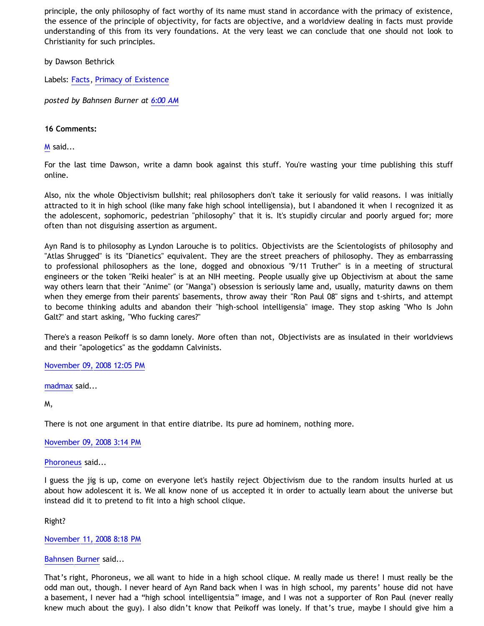principle, the only philosophy of fact worthy of its name must stand in accordance with the primacy of existence, the essence of the principle of objectivity, for facts are objective, and a worldview dealing in facts must provide understanding of this from its very foundations. At the very least we can conclude that one should not look to Christianity for such principles.

by Dawson Bethrick

Labels: [Facts](http://bahnsenburner.blogspot.com/search/label/Facts), [Primacy of Existence](http://bahnsenburner.blogspot.com/search/label/Primacy%20of%20Existence)

*posted by Bahnsen Burner at [6:00 AM](http://bahnsenburner.blogspot.com/2008/11/rival-philosophies-of-fact.html)*

# **16 Comments:**

[M](http://www.blogger.com/profile/09445387965157596566) said...

For the last time Dawson, write a damn book against this stuff. You're wasting your time publishing this stuff online.

Also, nix the whole Objectivism bullshit; real philosophers don't take it seriously for valid reasons. I was initially attracted to it in high school (like many fake high school intelligensia), but I abandoned it when I recognized it as the adolescent, sophomoric, pedestrian "philosophy" that it is. It's stupidly circular and poorly argued for; more often than not disguising assertion as argument.

Ayn Rand is to philosophy as Lyndon Larouche is to politics. Objectivists are the Scientologists of philosophy and "Atlas Shrugged" is its "Dianetics" equivalent. They are the street preachers of philosophy. They as embarrassing to professional philosophers as the lone, dogged and obnoxious "9/11 Truther" is in a meeting of structural engineers or the token "Reiki healer" is at an NIH meeting. People usually give up Objectivism at about the same way others learn that their "Anime" (or "Manga") obsession is seriously lame and, usually, maturity dawns on them when they emerge from their parents' basements, throw away their "Ron Paul 08" signs and t-shirts, and attempt to become thinking adults and abandon their "high-school intelligensia" image. They stop asking "Who Is John Galt?" and start asking, "Who fucking cares?"

There's a reason Peikoff is so damn lonely. More often than not, Objectivists are as insulated in their worldviews and their "apologetics" as the goddamn Calvinists.

[November 09, 2008 12:05 PM](http://bahnsenburner.blogspot.com/2008/11/3897026522719715059)

[madmax](http://www.blogger.com/profile/14375140131881725965) said...

M,

There is not one argument in that entire diatribe. Its pure ad hominem, nothing more.

[November 09, 2008 3:14 PM](http://bahnsenburner.blogspot.com/2008/11/7769481530578583055)

[Phoroneus](http://www.blogger.com/profile/05875277758226860200) said...

I guess the jig is up, come on everyone let's hastily reject Objectivism due to the random insults hurled at us about how adolescent it is. We all know none of us accepted it in order to actually learn about the universe but instead did it to pretend to fit into a high school clique.

Right?

[November 11, 2008 8:18 PM](http://bahnsenburner.blogspot.com/2008/11/7107114168786095833)

# [Bahnsen Burner](http://www.blogger.com/profile/11030029491768748360) said...

That's right, Phoroneus, we all want to hide in a high school clique. M really made us there! I must really be the odd man out, though. I never heard of Ayn Rand back when I was in high school, my parents' house did not have a basement, I never had a "high school intelligentsia" image, and I was not a supporter of Ron Paul (never really knew much about the guy). I also didn't know that Peikoff was lonely. If that's true, maybe I should give him a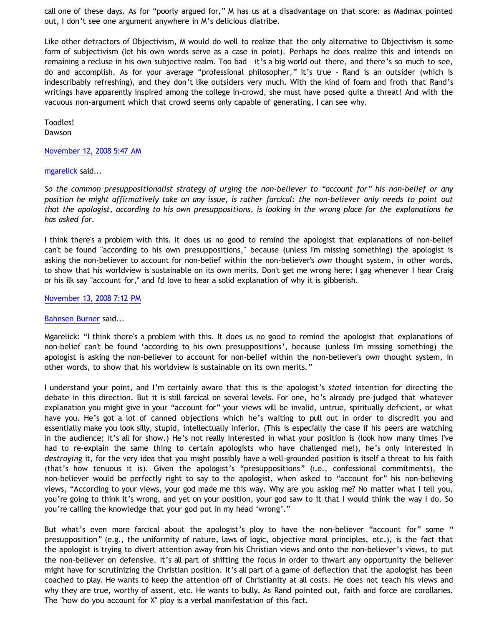call one of these days. As for "poorly argued for," M has us at a disadvantage on that score: as Madmax pointed out, I don't see one argument anywhere in M's delicious diatribe.

Like other detractors of Objectivism, M would do well to realize that the only alternative to Objectivism is some form of subjectivism (let his own words serve as a case in point). Perhaps he does realize this and intends on remaining a recluse in his own subjective realm. Too bad – it's a big world out there, and there's so much to see, do and accomplish. As for your average "professional philosopher," it's true – Rand is an outsider (which is indescribably refreshing), and they don't like outsiders very much. With the kind of foam and froth that Rand's writings have apparently inspired among the college in-crowd, she must have posed quite a threat! And with the vacuous non-argument which that crowd seems only capable of generating, I can see why.

Toodles! Dawson

[November 12, 2008 5:47 AM](http://bahnsenburner.blogspot.com/2008/11/1680590245280718059)

[mgarelick](http://www.blogger.com/profile/14939348959400629186) said...

*So the common presuppositionalist strategy of urging the non-believer to "account for" his non-belief or any position he might affirmatively take on any issue, is rather farcical: the non-believer only needs to point out that the apologist, according to his own presuppositions, is looking in the wrong place for the explanations he has asked for.*

I think there's a problem with this. It does us no good to remind the apologist that explanations of non-belief can't be found "according to his own presuppositions," because (unless I'm missing something) the apologist is asking the non-believer to account for non-belief within the non-believer's *own* thought system, in other words, to show that his worldview is sustainable on its own merits. Don't get me wrong here; I gag whenever I hear Craig or his ilk say "account for," and I'd love to hear a solid explanation of why it is gibberish.

[November 13, 2008 7:12 PM](http://bahnsenburner.blogspot.com/2008/11/8201893425471165671)

#### [Bahnsen Burner](http://www.blogger.com/profile/11030029491768748360) said...

Mgarelick: "I think there's a problem with this. It does us no good to remind the apologist that explanations of non-belief can't be found 'according to his own presuppositions', because (unless I'm missing something) the apologist is asking the non-believer to account for non-belief within the non-believer's *own* thought system, in other words, to show that his worldview is sustainable on its own merits."

I understand your point, and I'm certainly aware that this is the apologist's *stated* intention for directing the debate in this direction. But it is still farcical on several levels. For one, he's already pre-judged that whatever explanation you might give in your "account for" your views will be invalid, untrue, spiritually deficient, or what have you. He's got a lot of canned objections which he's waiting to pull out in order to discredit you and essentially make you look silly, stupid, intellectually inferior. (This is especially the case if his peers are watching in the audience; it's all for show.) He's not really interested in what your position is (look how many times I've had to re-explain the same thing to certain apologists who have challenged me!), he's only interested in *destroying* it, for the very idea that you might possibly have a well-grounded position is itself a threat to his faith (that's how tenuous it is). Given the apologist's "presuppositions" (i.e., confessional commitments), the non-believer would be perfectly right to say to the apologist, when asked to "account for" his non-believing views, "According to your views, your god made me this way. Why are you asking me? No matter what I tell you, you're going to think it's wrong, and yet on your position, your god saw to it that I would think the way I do. So you're calling the knowledge that your god put in my head 'wrong'."

But what's even more farcical about the apologist's ploy to have the non-believer "account for" some " presupposition" (e.g., the uniformity of nature, laws of logic, objective moral principles, etc.), is the fact that the apologist is trying to divert attention away from his Christian views and onto the non-believer's views, to put the non-believer on defensive. It's all part of shifting the focus in order to thwart any opportunity the believer might have for scrutinizing the Christian position. It's all part of a game of deflection that the apologist has been coached to play. He wants to keep the attention off of Christianity at all costs. He does not teach his views and why they are true, worthy of assent, etc. He wants to bully. As Rand pointed out, faith and force are corollaries. The "how do you account for X" ploy is a verbal manifestation of this fact.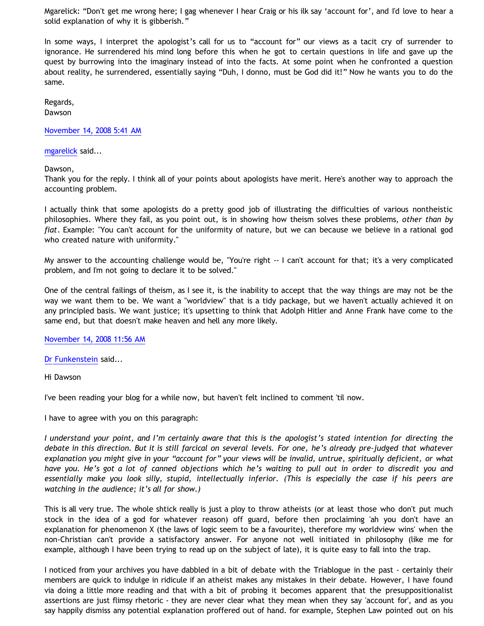Mgarelick: "Don't get me wrong here; I gag whenever I hear Craig or his ilk say 'account for', and I'd love to hear a solid explanation of why it is gibberish."

In some ways, I interpret the apologist's call for us to "account for" our views as a tacit cry of surrender to ignorance. He surrendered his mind long before this when he got to certain questions in life and gave up the quest by burrowing into the imaginary instead of into the facts. At some point when he confronted a question about reality, he surrendered, essentially saying "Duh, I donno, must be God did it!" Now he wants you to do the same.

Regards, Dawson

[November 14, 2008 5:41 AM](http://bahnsenburner.blogspot.com/2008/11/5541723515597585241)

[mgarelick](http://www.blogger.com/profile/14939348959400629186) said...

Dawson,

Thank you for the reply. I think all of your points about apologists have merit. Here's another way to approach the accounting problem.

I actually think that some apologists do a pretty good job of illustrating the difficulties of various nontheistic philosophies. Where they fail, as you point out, is in showing how theism solves these problems, *other than by fiat*. Example: "You can't account for the uniformity of nature, but we can because we believe in a rational god who created nature with uniformity."

My answer to the accounting challenge would be, "You're right -- I can't account for that; it's a very complicated problem, and I'm not going to declare it to be solved."

One of the central failings of theism, as I see it, is the inability to accept that the way things are may not be the way we want them to be. We want a "worldview" that is a tidy package, but we haven't actually achieved it on any principled basis. We want justice; it's upsetting to think that Adolph Hitler and Anne Frank have come to the same end, but that doesn't make heaven and hell any more likely.

[November 14, 2008 11:56 AM](http://bahnsenburner.blogspot.com/2008/11/3841370647548135153)

[Dr Funkenstein](http://www.blogger.com/profile/03620894198842461714) said...

Hi Dawson

I've been reading your blog for a while now, but haven't felt inclined to comment 'til now.

I have to agree with you on this paragraph:

*I understand your point, and I'm certainly aware that this is the apologist's stated intention for directing the debate in this direction. But it is still farcical on several levels. For one, he's already pre-judged that whatever explanation you might give in your "account for" your views will be invalid, untrue, spiritually deficient, or what have you. He's got a lot of canned objections which he's waiting to pull out in order to discredit you and essentially make you look silly, stupid, intellectually inferior. (This is especially the case if his peers are watching in the audience; it's all for show.)*

This is all very true. The whole shtick really is just a ploy to throw atheists (or at least those who don't put much stock in the idea of a god for whatever reason) off guard, before then proclaiming 'ah you don't have an explanation for phenomenon X (the laws of logic seem to be a favourite), therefore my worldview wins' when the non-Christian can't provide a satisfactory answer. For anyone not well initiated in philosophy (like me for example, although I have been trying to read up on the subject of late), it is quite easy to fall into the trap.

I noticed from your archives you have dabbled in a bit of debate with the Triablogue in the past - certainly their members are quick to indulge in ridicule if an atheist makes any mistakes in their debate. However, I have found via doing a little more reading and that with a bit of probing it becomes apparent that the presuppositionalist assertions are just flimsy rhetoric - they are never clear what they mean when they say 'account for', and as you say happily dismiss any potential explanation proffered out of hand. for example, Stephen Law pointed out on his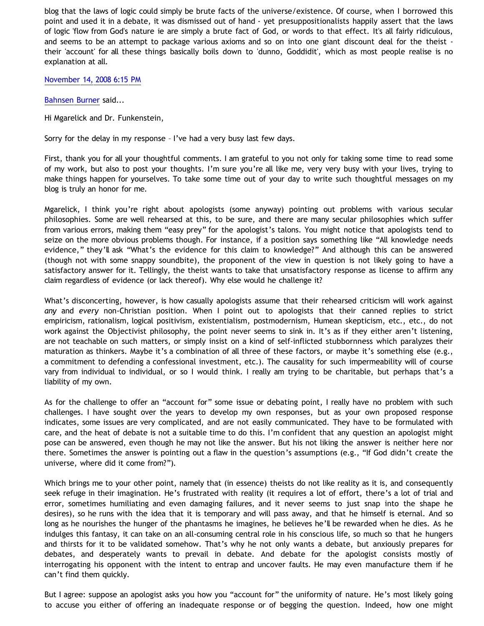blog that the laws of logic could simply be brute facts of the universe/existence. Of course, when I borrowed this point and used it in a debate, it was dismissed out of hand - yet presuppositionalists happily assert that the laws of logic 'flow from God's nature ie are simply a brute fact of God, or words to that effect. It's all fairly ridiculous, and seems to be an attempt to package various axioms and so on into one giant discount deal for the theist their 'account' for all these things basically boils down to 'dunno, Goddidit', which as most people realise is no explanation at all.

[November 14, 2008 6:15 PM](http://bahnsenburner.blogspot.com/2008/11/4622919159009020633)

[Bahnsen Burner](http://www.blogger.com/profile/11030029491768748360) said...

Hi Mgarelick and Dr. Funkenstein,

Sorry for the delay in my response – I've had a very busy last few days.

First, thank you for all your thoughtful comments. I am grateful to you not only for taking some time to read some of my work, but also to post your thoughts. I'm sure you're all like me, very very busy with your lives, trying to make things happen for yourselves. To take some time out of your day to write such thoughtful messages on my blog is truly an honor for me.

Mgarelick, I think you're right about apologists (some anyway) pointing out problems with various secular philosophies. Some are well rehearsed at this, to be sure, and there are many secular philosophies which suffer from various errors, making them "easy prey" for the apologist's talons. You might notice that apologists tend to seize on the more obvious problems though. For instance, if a position says something like "All knowledge needs evidence," they'll ask "What's the evidence for this claim to knowledge?" And although this can be answered (though not with some snappy soundbite), the proponent of the view in question is not likely going to have a satisfactory answer for it. Tellingly, the theist wants to take that unsatisfactory response as license to affirm any claim regardless of evidence (or lack thereof). Why else would he challenge it?

What's disconcerting, however, is how casually apologists assume that their rehearsed criticism will work against *any* and *every* non-Christian position. When I point out to apologists that their canned replies to strict empiricism, rationalism, logical positivism, existentialism, postmodernism, Humean skepticism, etc., etc., do not work against the Objectivist philosophy, the point never seems to sink in. It's as if they either aren't listening, are not teachable on such matters, or simply insist on a kind of self-inflicted stubbornness which paralyzes their maturation as thinkers. Maybe it's a combination of all three of these factors, or maybe it's something else (e.g., a commitment to defending a confessional investment, etc.). The causality for such impermeability will of course vary from individual to individual, or so I would think. I really am trying to be charitable, but perhaps that's a liability of my own.

As for the challenge to offer an "account for" some issue or debating point, I really have no problem with such challenges. I have sought over the years to develop my own responses, but as your own proposed response indicates, some issues are very complicated, and are not easily communicated. They have to be formulated with care, and the heat of debate is not a suitable time to do this. I'm confident that any question an apologist might pose can be answered, even though he may not like the answer. But his not liking the answer is neither here nor there. Sometimes the answer is pointing out a flaw in the question's assumptions (e.g., "If God didn't create the universe, where did it come from?").

Which brings me to your other point, namely that (in essence) theists do not like reality as it is, and consequently seek refuge in their imagination. He's frustrated with reality (it requires a lot of effort, there's a lot of trial and error, sometimes humiliating and even damaging failures, and it never seems to just snap into the shape he desires), so he runs with the idea that it is temporary and will pass away, and that he himself is eternal. And so long as he nourishes the hunger of the phantasms he imagines, he believes he'll be rewarded when he dies. As he indulges this fantasy, it can take on an all-consuming central role in his conscious life, so much so that he hungers and thirsts for it to be validated somehow. That's why he not only wants a debate, but anxiously prepares for debates, and desperately wants to prevail in debate. And debate for the apologist consists mostly of interrogating his opponent with the intent to entrap and uncover faults. He may even manufacture them if he can't find them quickly.

But I agree: suppose an apologist asks you how you "account for" the uniformity of nature. He's most likely going to accuse you either of offering an inadequate response or of begging the question. Indeed, how one might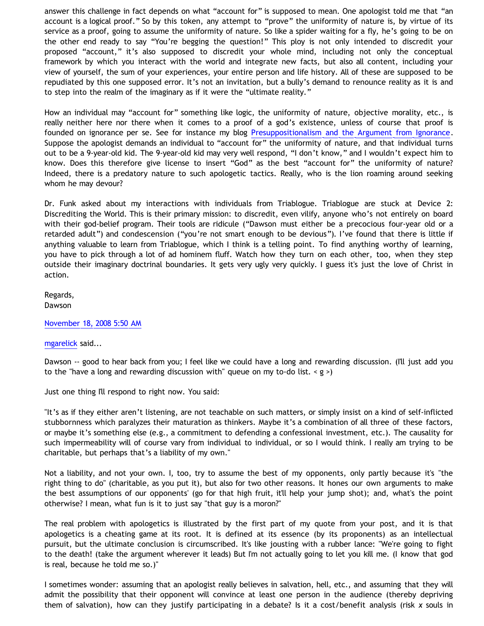answer this challenge in fact depends on what "account for" is supposed to mean. One apologist told me that "an account is a logical proof." So by this token, any attempt to "prove" the uniformity of nature is, by virtue of its service as a proof, going to assume the uniformity of nature. So like a spider waiting for a fly, he's going to be on the other end ready to say "You're begging the question!" This ploy is not only intended to discredit your proposed "account," it's also supposed to discredit your whole mind, including not only the conceptual framework by which you interact with the world and integrate new facts, but also all content, including your view of yourself, the sum of your experiences, your entire person and life history. All of these are supposed to be repudiated by this one supposed error. It's not an invitation, but a bully's demand to renounce reality as it is and to step into the realm of the imaginary as if it were the "ultimate reality."

How an individual may "account for" something like logic, the uniformity of nature, objective morality, etc., is really neither here nor there when it comes to a proof of a god's existence, unless of course that proof is founded on ignorance per se. See for instance my blog [Presuppositionalism and the Argument from Ignorance](http://bahnsenburner.blogspot.com/2006/02/presuppositionalism-and-argument-from.html). Suppose the apologist demands an individual to "account for" the uniformity of nature, and that individual turns out to be a 9-year-old kid. The 9-year-old kid may very well respond, "I don't know," and I wouldn't expect him to know. Does this therefore give license to insert "God" as the best "account for" the uniformity of nature? Indeed, there is a predatory nature to such apologetic tactics. Really, who is the lion roaming around seeking whom he may devour?

Dr. Funk asked about my interactions with individuals from Triablogue. Triablogue are stuck at Device 2: Discrediting the World. This is their primary mission: to discredit, even vilify, anyone who's not entirely on board with their god-belief program. Their tools are ridicule ("Dawson must either be a precocious four-year old or a retarded adult") and condescension ("you're not smart enough to be devious"). I've found that there is little if anything valuable to learn from Triablogue, which I think is a telling point. To find anything worthy of learning, you have to pick through a lot of ad hominem fluff. Watch how they turn on each other, too, when they step outside their imaginary doctrinal boundaries. It gets very ugly very quickly. I guess it's just the love of Christ in action.

Regards, Dawson

[November 18, 2008 5:50 AM](http://bahnsenburner.blogspot.com/2008/11/8983379508904634766)

### [mgarelick](http://www.blogger.com/profile/14939348959400629186) said...

Dawson -- good to hear back from you; I feel like we could have a long and rewarding discussion. (I'll just add you to the "have a long and rewarding discussion with" queue on my to-do list.  $\langle g \rangle$ 

Just one thing I'll respond to right now. You said:

"It's as if they either aren't listening, are not teachable on such matters, or simply insist on a kind of self-inflicted stubbornness which paralyzes their maturation as thinkers. Maybe it's a combination of all three of these factors, or maybe it's something else (e.g., a commitment to defending a confessional investment, etc.). The causality for such impermeability will of course vary from individual to individual, or so I would think. I really am trying to be charitable, but perhaps that's a liability of my own."

Not a liability, and not your own. I, too, try to assume the best of my opponents, only partly because it's "the right thing to do" (charitable, as you put it), but also for two other reasons. It hones our own arguments to make the best assumptions of our opponents' (go for that high fruit, it'll help your jump shot); and, what's the point otherwise? I mean, what fun is it to just say "that guy is a moron?"

The real problem with apologetics is illustrated by the first part of my quote from your post, and it is that apologetics is a cheating game at its root. It is defined at its essence (by its proponents) as an intellectual pursuit, but the ultimate conclusion is circumscribed. It's like jousting with a rubber lance: "We're going to fight to the death! (take the argument wherever it leads) But I'm not actually going to let you kill me. (I know that god is real, because he told me so.)"

I sometimes wonder: assuming that an apologist really believes in salvation, hell, etc., and assuming that they will admit the possibility that their opponent will convince at least one person in the audience (thereby depriving them of salvation), how can they justify participating in a debate? Is it a cost/benefit analysis (risk *x* souls in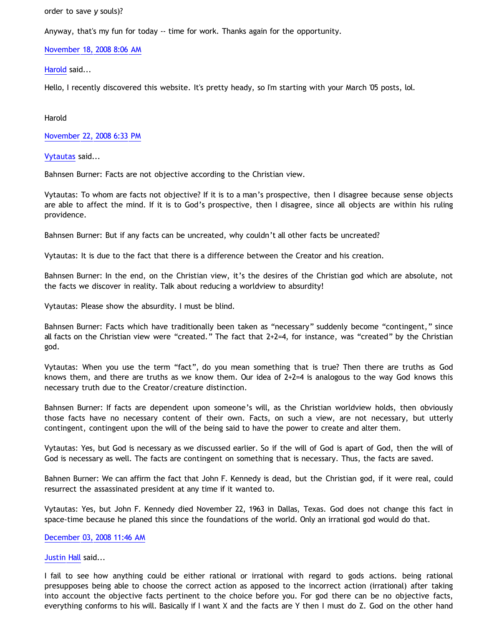order to save *y* souls)?

Anyway, that's my fun for today -- time for work. Thanks again for the opportunity.

[November 18, 2008 8:06 AM](http://bahnsenburner.blogspot.com/2008/11/2866303912011343865)

[Harold](http://www.blogger.com/profile/10897769844874861468) said...

Hello, I recently discovered this website. It's pretty heady, so I'm starting with your March '05 posts, lol.

Harold

[November 22, 2008 6:33 PM](http://bahnsenburner.blogspot.com/2008/11/1835873399278166472)

[Vytautas](http://www.blogger.com/profile/10563655929016752682) said...

Bahnsen Burner: Facts are not objective according to the Christian view.

Vytautas: To whom are facts not objective? If it is to a man's prospective, then I disagree because sense objects are able to affect the mind. If it is to God's prospective, then I disagree, since all objects are within his ruling providence.

Bahnsen Burner: But if any facts can be uncreated, why couldn't all other facts be uncreated?

Vytautas: It is due to the fact that there is a difference between the Creator and his creation.

Bahnsen Burner: In the end, on the Christian view, it's the desires of the Christian god which are absolute, not the facts we discover in reality. Talk about reducing a worldview to absurdity!

Vytautas: Please show the absurdity. I must be blind.

Bahnsen Burner: Facts which have traditionally been taken as "necessary" suddenly become "contingent," since all facts on the Christian view were "created." The fact that 2+2=4, for instance, was "created" by the Christian god.

Vytautas: When you use the term "fact", do you mean something that is true? Then there are truths as God knows them, and there are truths as we know them. Our idea of  $2+2=4$  is analogous to the way God knows this necessary truth due to the Creator/creature distinction.

Bahnsen Burner: If facts are dependent upon someone's will, as the Christian worldview holds, then obviously those facts have no necessary content of their own. Facts, on such a view, are not necessary, but utterly contingent, contingent upon the will of the being said to have the power to create and alter them.

Vytautas: Yes, but God is necessary as we discussed earlier. So if the will of God is apart of God, then the will of God is necessary as well. The facts are contingent on something that is necessary. Thus, the facts are saved.

Bahnen Burner: We can affirm the fact that John F. Kennedy is dead, but the Christian god, if it were real, could resurrect the assassinated president at any time if it wanted to.

Vytautas: Yes, but John F. Kennedy died November 22, 1963 in Dallas, Texas. God does not change this fact in space-time because he planed this since the foundations of the world. Only an irrational god would do that.

[December 03, 2008 11:46 AM](http://bahnsenburner.blogspot.com/2008/11/207010601703214994)

### [Justin Hall](http://www.blogger.com/profile/17804641315202800289) said...

I fail to see how anything could be either rational or irrational with regard to gods actions. being rational presupposes being able to choose the correct action as apposed to the incorrect action (irrational) after taking into account the objective facts pertinent to the choice before you. For god there can be no objective facts, everything conforms to his will. Basically if I want X and the facts are Y then I must do Z. God on the other hand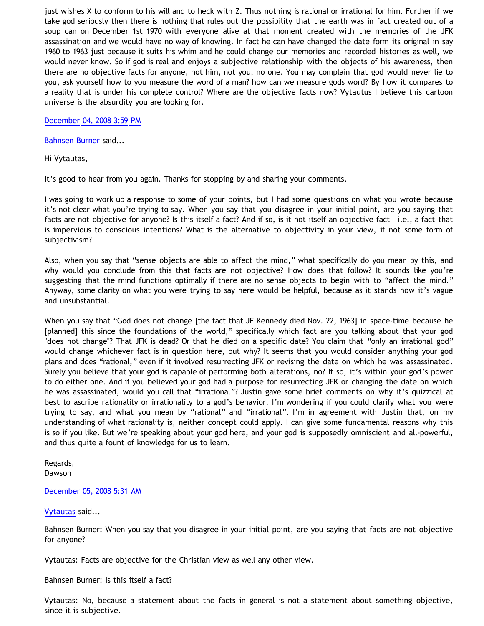just wishes X to conform to his will and to heck with Z. Thus nothing is rational or irrational for him. Further if we take god seriously then there is nothing that rules out the possibility that the earth was in fact created out of a soup can on December 1st 1970 with everyone alive at that moment created with the memories of the JFK assassination and we would have no way of knowing. In fact he can have changed the date form its original in say 1960 to 1963 just because it suits his whim and he could change our memories and recorded histories as well, we would never know. So if god is real and enjoys a subjective relationship with the objects of his awareness, then there are no objective facts for anyone, not him, not you, no one. You may complain that god would never lie to you, ask yourself how to you measure the word of a man? how can we measure gods word? By how it compares to a reality that is under his complete control? Where are the objective facts now? Vytautus I believe this cartoon universe is the absurdity you are looking for.

[December 04, 2008 3:59 PM](http://bahnsenburner.blogspot.com/2008/11/666953433070920111)

[Bahnsen Burner](http://www.blogger.com/profile/11030029491768748360) said...

Hi Vytautas,

It's good to hear from you again. Thanks for stopping by and sharing your comments.

I was going to work up a response to some of your points, but I had some questions on what you wrote because it's not clear what you're trying to say. When you say that you disagree in your initial point, are you saying that facts are not objective for anyone? Is this itself a fact? And if so, is it not itself an objective fact – i.e., a fact that is impervious to conscious intentions? What is the alternative to objectivity in your view, if not some form of subjectivism?

Also, when you say that "sense objects are able to affect the mind," what specifically do you mean by this, and why would you conclude from this that facts are not objective? How does that follow? It sounds like you're suggesting that the mind functions optimally if there are no sense objects to begin with to "affect the mind." Anyway, some clarity on what you were trying to say here would be helpful, because as it stands now it's vague and unsubstantial.

When you say that "God does not change [the fact that JF Kennedy died Nov. 22, 1963] in space-time because he [planned] this since the foundations of the world," specifically which fact are you talking about that your god "does not change"? That JFK is dead? Or that he died on a specific date? You claim that "only an irrational god" would change whichever fact is in question here, but why? It seems that you would consider anything your god plans and does "rational," even if it involved resurrecting JFK or revising the date on which he was assassinated. Surely you believe that your god is capable of performing both alterations, no? If so, it's within your god's power to do either one. And if you believed your god had a purpose for resurrecting JFK or changing the date on which he was assassinated, would you call that "irrational"? Justin gave some brief comments on why it's quizzical at best to ascribe rationality or irrationality to a god's behavior. I'm wondering if you could clarify what you were trying to say, and what you mean by "rational" and "irrational". I'm in agreement with Justin that, on my understanding of what rationality is, neither concept could apply. I can give some fundamental reasons why this is so if you like. But we're speaking about your god here, and your god is supposedly omniscient and all-powerful, and thus quite a fount of knowledge for us to learn.

Regards, Dawson

[December 05, 2008 5:31 AM](http://bahnsenburner.blogspot.com/2008/11/3385758413788451652)

[Vytautas](http://www.blogger.com/profile/10563655929016752682) said...

Bahnsen Burner: When you say that you disagree in your initial point, are you saying that facts are not objective for anyone?

Vytautas: Facts are objective for the Christian view as well any other view.

Bahnsen Burner: Is this itself a fact?

Vytautas: No, because a statement about the facts in general is not a statement about something objective, since it is subjective.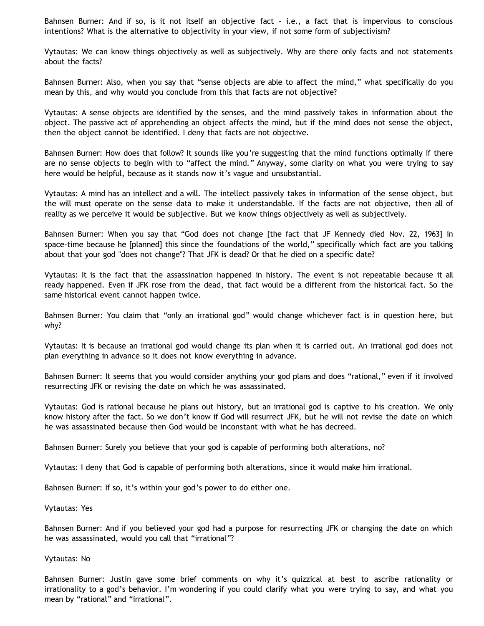Bahnsen Burner: And if so, is it not itself an objective fact – i.e., a fact that is impervious to conscious intentions? What is the alternative to objectivity in your view, if not some form of subjectivism?

Vytautas: We can know things objectively as well as subjectively. Why are there only facts and not statements about the facts?

Bahnsen Burner: Also, when you say that "sense objects are able to affect the mind," what specifically do you mean by this, and why would you conclude from this that facts are not objective?

Vytautas: A sense objects are identified by the senses, and the mind passively takes in information about the object. The passive act of apprehending an object affects the mind, but if the mind does not sense the object, then the object cannot be identified. I deny that facts are not objective.

Bahnsen Burner: How does that follow? It sounds like you're suggesting that the mind functions optimally if there are no sense objects to begin with to "affect the mind." Anyway, some clarity on what you were trying to say here would be helpful, because as it stands now it's vague and unsubstantial.

Vytautas: A mind has an intellect and a will. The intellect passively takes in information of the sense object, but the will must operate on the sense data to make it understandable. If the facts are not objective, then all of reality as we perceive it would be subjective. But we know things objectively as well as subjectively.

Bahnsen Burner: When you say that "God does not change [the fact that JF Kennedy died Nov. 22, 1963] in space-time because he [planned] this since the foundations of the world," specifically which fact are you talking about that your god "does not change"? That JFK is dead? Or that he died on a specific date?

Vytautas: It is the fact that the assassination happened in history. The event is not repeatable because it all ready happened. Even if JFK rose from the dead, that fact would be a different from the historical fact. So the same historical event cannot happen twice.

Bahnsen Burner: You claim that "only an irrational god" would change whichever fact is in question here, but why?

Vytautas: It is because an irrational god would change its plan when it is carried out. An irrational god does not plan everything in advance so it does not know everything in advance.

Bahnsen Burner: It seems that you would consider anything your god plans and does "rational," even if it involved resurrecting JFK or revising the date on which he was assassinated.

Vytautas: God is rational because he plans out history, but an irrational god is captive to his creation. We only know history after the fact. So we don't know if God will resurrect JFK, but he will not revise the date on which he was assassinated because then God would be inconstant with what he has decreed.

Bahnsen Burner: Surely you believe that your god is capable of performing both alterations, no?

Vytautas: I deny that God is capable of performing both alterations, since it would make him irrational.

Bahnsen Burner: If so, it's within your god's power to do either one.

#### Vytautas: Yes

Bahnsen Burner: And if you believed your god had a purpose for resurrecting JFK or changing the date on which he was assassinated, would you call that "irrational"?

#### Vytautas: No

Bahnsen Burner: Justin gave some brief comments on why it's quizzical at best to ascribe rationality or irrationality to a god's behavior. I'm wondering if you could clarify what you were trying to say, and what you mean by "rational" and "irrational".